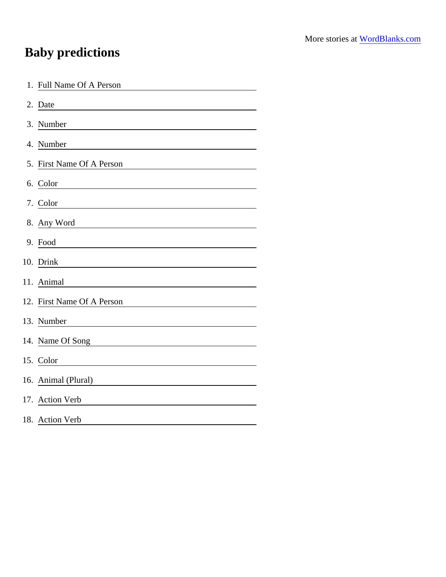## Baby predictions

| 1. Full Name Of A Person                                                                                                          |
|-----------------------------------------------------------------------------------------------------------------------------------|
| 2. Date                                                                                                                           |
| 3. Number                                                                                                                         |
| 4. Number<br><u> 1980 - Jan Stein Stein Stein Stein Stein Stein Stein Stein Stein Stein Stein Stein Stein Stein Stein Stein S</u> |
| 5. First Name Of A Person                                                                                                         |
| 6. Color                                                                                                                          |
| 7. Color                                                                                                                          |
| 8. Any Word                                                                                                                       |
| 9. Food                                                                                                                           |
| 10. Drink                                                                                                                         |
| 11. Animal                                                                                                                        |
| 12. First Name Of A Person                                                                                                        |
| 13. Number                                                                                                                        |
| 14. Name Of Song                                                                                                                  |
| 15. Color                                                                                                                         |
| 16. Animal (Plural)                                                                                                               |
| 17. Action Verb                                                                                                                   |
| 18. Action Verb                                                                                                                   |